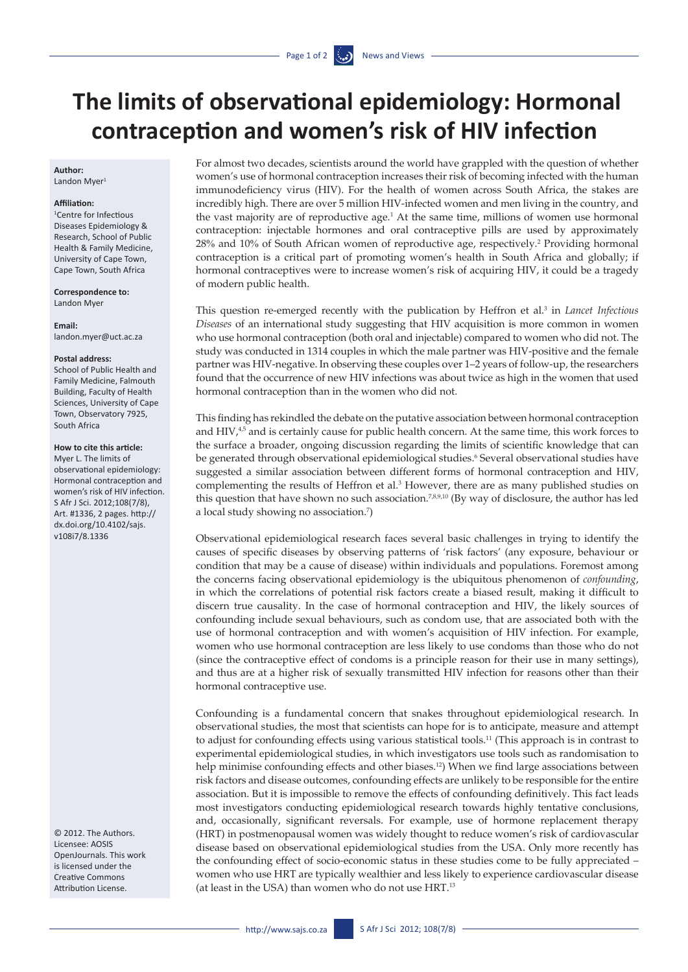# **The limits of observational epidemiology: Hormonal contraception and women's risk of HIV infection**

## **Author:**

Landon Myer<sup>1</sup>

### **Affiliation:**

1 Centre for Infectious Diseases Epidemiology & Research, School of Public Health & Family Medicine, University of Cape Town, Cape Town, South Africa

**Correspondence to:**  Landon Myer

**Email:**  [landon.myer@uct.ac.za](mailto:Landon.myer@uct.ac.za)

#### **Postal address:**

School of Public Health and Family Medicine, Falmouth Building, Faculty of Health Sciences, University of Cape Town, Observatory 7925, South Africa

**How to cite this article:**  Myer L. The limits of

observational epidemiology: Hormonal contraception and women's risk of HIV infection. S Afr J Sci. 2012;108(7/8), Art. #1336, 2 pages. [http://](http://dx.doi.org/10.4102/sajs.v108i7/8.1336) [dx.doi.org/10.4102/sajs.](http://dx.doi.org/10.4102/sajs.v108i7/8.1336) [v108i7/8.1336](http://dx.doi.org/10.4102/sajs.v108i7/8.1336)

© 2012. The Authors. Licensee: AOSIS OpenJournals. This work is licensed under the Creative Commons Attribution License.

For almost two decades, scientists around the world have grappled with the question of whether women's use of hormonal contraception increases their risk of becoming infected with the human immunodeficiency virus (HIV). For the health of women across South Africa, the stakes are incredibly high. There are over 5 million HIV-infected women and men living in the country, and the vast majority are of reproductive age. $<sup>1</sup>$  At the same time, millions of women use hormonal</sup> contraception: injectable hormones and oral contraceptive pills are used by approximately 28% and 10% of South African women of reproductive age, respectively.<sup>2</sup> Providing hormonal contraception is a critical part of promoting women's health in South Africa and globally; if hormonal contraceptives were to increase women's risk of acquiring HIV, it could be a tragedy of modern public health.

This question re-emerged recently with the publication by Heffron et al.<sup>3</sup> in *Lancet Infectious Diseases* of an international study suggesting that HIV acquisition is more common in women who use hormonal contraception (both oral and injectable) compared to women who did not. The study was conducted in 1314 couples in which the male partner was HIV-positive and the female partner was HIV-negative. In observing these couples over 1–2 years of follow-up, the researchers found that the occurrence of new HIV infections was about twice as high in the women that used hormonal contraception than in the women who did not.

This finding has rekindled the debate on the putative association between hormonal contraception and HIV,<sup>4,5</sup> and is certainly cause for public health concern. At the same time, this work forces to the surface a broader, ongoing discussion regarding the limits of scientific knowledge that can be generated through observational epidemiological studies.<sup>6</sup> Several observational studies have suggested a similar association between different forms of hormonal contraception and HIV, complementing the results of Heffron et al.3 However, there are as many published studies on this question that have shown no such association.<sup>7,8,9,10</sup> (By way of disclosure, the author has led a local study showing no association.7 )

Observational epidemiological research faces several basic challenges in trying to identify the causes of specific diseases by observing patterns of 'risk factors' (any exposure, behaviour or condition that may be a cause of disease) within individuals and populations. Foremost among the concerns facing observational epidemiology is the ubiquitous phenomenon of *confounding*, in which the correlations of potential risk factors create a biased result, making it difficult to discern true causality. In the case of hormonal contraception and HIV, the likely sources of confounding include sexual behaviours, such as condom use, that are associated both with the use of hormonal contraception and with women's acquisition of HIV infection. For example, women who use hormonal contraception are less likely to use condoms than those who do not (since the contraceptive effect of condoms is a principle reason for their use in many settings), and thus are at a higher risk of sexually transmitted HIV infection for reasons other than their hormonal contraceptive use.

Confounding is a fundamental concern that snakes throughout epidemiological research. In observational studies, the most that scientists can hope for is to anticipate, measure and attempt to adjust for confounding effects using various statistical tools.11 (This approach is in contrast to experimental epidemiological studies, in which investigators use tools such as randomisation to help minimise confounding effects and other biases.<sup>12</sup>) When we find large associations between risk factors and disease outcomes, confounding effects are unlikely to be responsible for the entire association. But it is impossible to remove the effects of confounding definitively. This fact leads most investigators conducting epidemiological research towards highly tentative conclusions, and, occasionally, significant reversals. For example, use of hormone replacement therapy (HRT) in postmenopausal women was widely thought to reduce women's risk of cardiovascular disease based on observational epidemiological studies from the USA. Only more recently has the confounding effect of socio-economic status in these studies come to be fully appreciated – women who use HRT are typically wealthier and less likely to experience cardiovascular disease (at least in the USA) than women who do not use HRT.13